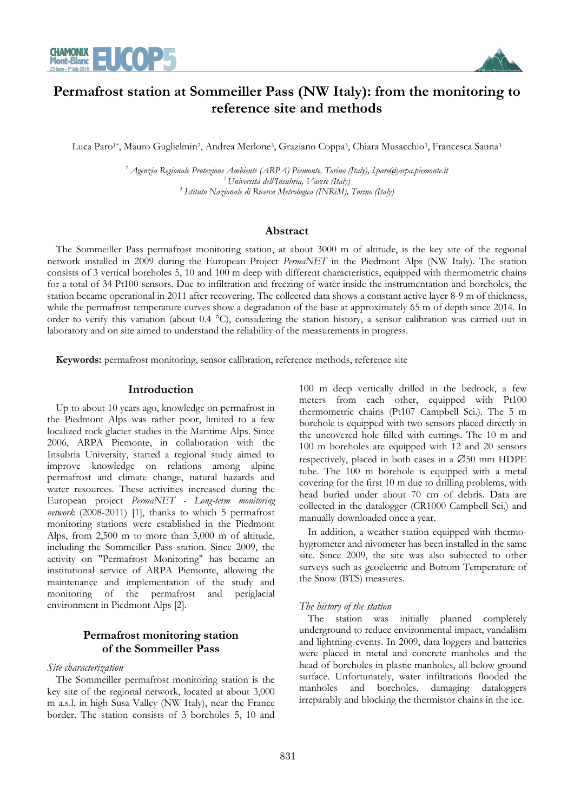



# **Permafrost station at Sommeiller Pass (NW Italy): from the monitoring to reference site and methods**

Luca Paro<sup>1\*</sup>, Mauro Guglielmin<sup>2</sup>, Andrea Merlone<sup>3</sup>, Graziano Coppa<sup>3</sup>, Chiara Musacchio<sup>3</sup>, Francesca Sanna<sup>3</sup>

<sup>1</sup> Agenzia Regionale Protezione Ambiente (ARPA) Piemonte, Torino (Italy), l.paro@arpa.piemonte.it *<sup>2</sup>Università dell'Insubria, Varese (Italy) 3 Istituto Nazionale di Ricerca Metrologica (INRiM), Torino (Italy)* 

#### **Abstract**

The Sommeiller Pass permafrost monitoring station, at about 3000 m of altitude, is the key site of the regional network installed in 2009 during the European Project *PermaNET* in the Piedmont Alps (NW Italy). The station consists of 3 vertical boreholes 5, 10 and 100 m deep with different characteristics, equipped with thermometric chains for a total of 34 Pt100 sensors. Due to infiltration and freezing of water inside the instrumentation and boreholes, the station became operational in 2011 after recovering. The collected data shows a constant active layer 8-9 m of thickness, while the permafrost temperature curves show a degradation of the base at approximately 65 m of depth since 2014. In order to verify this variation (about 0.4 °C), considering the station history, a sensor calibration was carried out in laboratory and on site aimed to understand the reliability of the measurements in progress.

**Keywords:** permafrost monitoring, sensor calibration, reference methods, reference site

#### **Introduction**

Up to about 10 years ago, knowledge on permafrost in the Piedmont Alps was rather poor, limited to a few localized rock glacier studies in the Maritime Alps. Since 2006, ARPA Piemonte, in collaboration with the Insubria University, started a regional study aimed to improve knowledge on relations among alpine permafrost and climate change, natural hazards and water resources. These activities increased during the European project *PermaNET - Long-term monitoring network* (2008-2011) [1], thanks to which 5 permafrost monitoring stations were established in the Piedmont Alps, from 2,500 m to more than 3,000 m of altitude, including the Sommeiller Pass station. Since 2009, the activity on "Permafrost Monitoring" has became an institutional service of ARPA Piemonte, allowing the maintenance and implementation of the study and monitoring of the permafrost and periglacial environment in Piedmont Alps [2].

## **Permafrost monitoring station of the Sommeiller Pass**

#### *Site characterization*

The Sommeiller permafrost monitoring station is the key site of the regional network, located at about 3,000 m a.s.l. in high Susa Valley (NW Italy), near the France border. The station consists of 3 boreholes 5, 10 and 100 m deep vertically drilled in the bedrock, a few meters from each other, equipped with Pt100 thermometric chains (Pt107 Campbell Sci.). The 5 m borehole is equipped with two sensors placed directly in the uncovered hole filled with cuttings. The 10 m and 100 m boreholes are equipped with 12 and 20 sensors respectively, placed in both cases in a  $\emptyset$ 50 mm HDPE tube. The 100 m borehole is equipped with a metal covering for the first 10 m due to drilling problems, with head buried under about 70 cm of debris. Data are collected in the datalogger (CR1000 Campbell Sci.) and manually downloaded once a year.

In addition, a weather station equipped with thermohygrometer and nivometer has been installed in the same site. Since 2009, the site was also subjected to other surveys such as geoelectric and Bottom Temperature of the Snow (BTS) measures.

#### *The history of the station*

The station was initially planned completely underground to reduce environmental impact, vandalism and lightning events. In 2009, data loggers and batteries were placed in metal and concrete manholes and the head of boreholes in plastic manholes, all below ground surface. Unfortunately, water infiltrations flooded the manholes and boreholes, damaging dataloggers irreparably and blocking the thermistor chains in the ice.